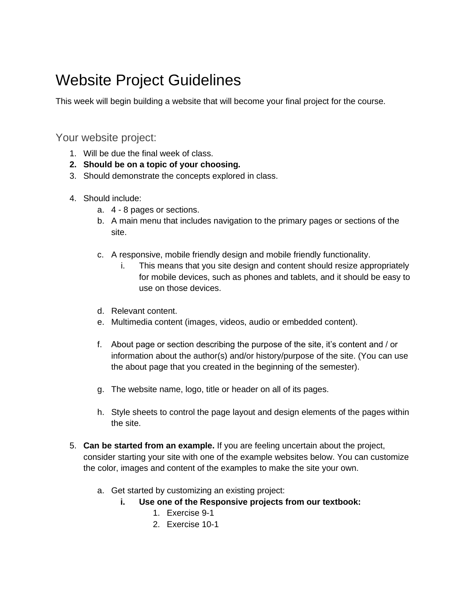## Website Project Guidelines

This week will begin building a website that will become your final project for the course.

## Your website project:

- 1. Will be due the final week of class.
- **2. Should be on a topic of your choosing.**
- 3. Should demonstrate the concepts explored in class.
- 4. Should include:
	- a. 4 8 pages or sections.
	- b. A main menu that includes navigation to the primary pages or sections of the site.
	- c. A responsive, mobile friendly design and mobile friendly functionality.
		- i. This means that you site design and content should resize appropriately for mobile devices, such as phones and tablets, and it should be easy to use on those devices.
	- d. Relevant content.
	- e. Multimedia content (images, videos, audio or embedded content).
	- f. About page or section describing the purpose of the site, it's content and / or information about the author(s) and/or history/purpose of the site. (You can use the about page that you created in the beginning of the semester).
	- g. The website name, logo, title or header on all of its pages.
	- h. Style sheets to control the page layout and design elements of the pages within the site.
- 5. **Can be started from an example.** If you are feeling uncertain about the project, consider starting your site with one of the example websites below. You can customize the color, images and content of the examples to make the site your own.
	- a. Get started by customizing an existing project:
		- **i. Use one of the Responsive projects from our textbook:**
			- 1. Exercise 9-1
			- 2. Exercise 10-1